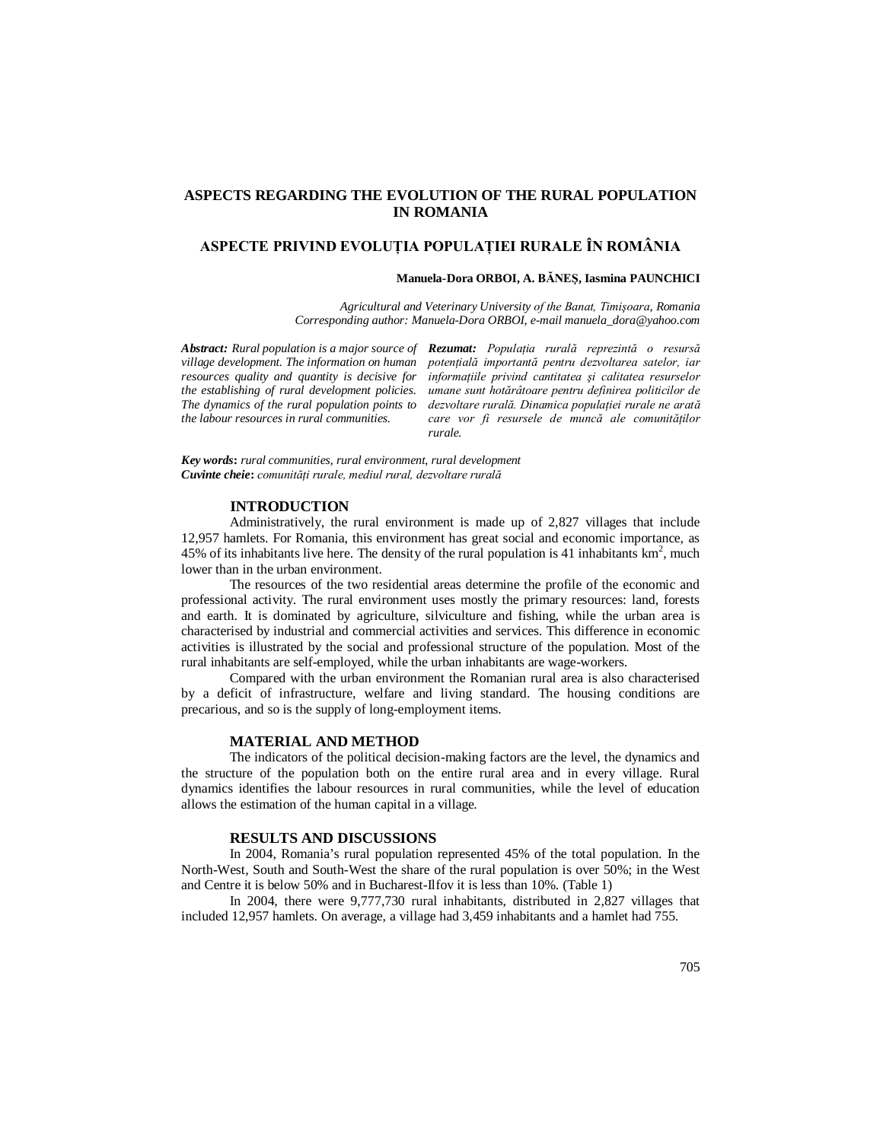## **ASPECTS REGARDING THE EVOLUTION OF THE RURAL POPULATION IN ROMANIA**

# **ASPECTE PRIVIND EVOLUŢIA POPULAŢIEI RURALE ÎN ROMÂNIA**

#### **Manuela-Dora ORBOI, A. BĂNEŞ, Iasmina PAUNCHICI**

*Agricultural and Veterinary University of the Banat, Timişoara, Romania Corresponding author: Manuela-Dora ORBOI, e-mail manuela\_dora@yahoo.com*

*the labour resources in rural communities.*

*Abstract: Rural population is a major source of Rezumat: Populaţia rurală reprezintă o resursă village development. The information on human potenţială importantă pentru dezvoltarea satelor, iar resources quality and quantity is decisive for informaţiile privind cantitatea şi calitatea resurselor the establishing of rural development policies. umane sunt hotărâtoare pentru definirea politicilor de The dynamics of the rural population points to dezvoltare rurală. Dinamica populaţiei rurale ne arată*  care vor fi resursele de muncă ale comunităților *rurale.*

*Key words***:** *rural communities, rural environment, rural development Cuvinte cheie***:** *comunităţi rurale, mediul rural, dezvoltare rurală*

## **INTRODUCTION**

Administratively, the rural environment is made up of 2,827 villages that include 12,957 hamlets. For Romania, this environment has great social and economic importance, as 45% of its inhabitants live here. The density of the rural population is 41 inhabitants  $km^2$ , much lower than in the urban environment.

The resources of the two residential areas determine the profile of the economic and professional activity. The rural environment uses mostly the primary resources: land, forests and earth. It is dominated by agriculture, silviculture and fishing, while the urban area is characterised by industrial and commercial activities and services. This difference in economic activities is illustrated by the social and professional structure of the population. Most of the rural inhabitants are self-employed, while the urban inhabitants are wage-workers.

Compared with the urban environment the Romanian rural area is also characterised by a deficit of infrastructure, welfare and living standard. The housing conditions are precarious, and so is the supply of long-employment items.

#### **MATERIAL AND METHOD**

The indicators of the political decision-making factors are the level, the dynamics and the structure of the population both on the entire rural area and in every village. Rural dynamics identifies the labour resources in rural communities, while the level of education allows the estimation of the human capital in a village.

#### **RESULTS AND DISCUSSIONS**

In 2004, Romania's rural population represented 45% of the total population. In the North-West, South and South-West the share of the rural population is over 50%; in the West and Centre it is below 50% and in Bucharest-Ilfov it is less than 10%. (Table 1)

In 2004, there were 9,777,730 rural inhabitants, distributed in 2,827 villages that included 12,957 hamlets. On average, a village had 3,459 inhabitants and a hamlet had 755.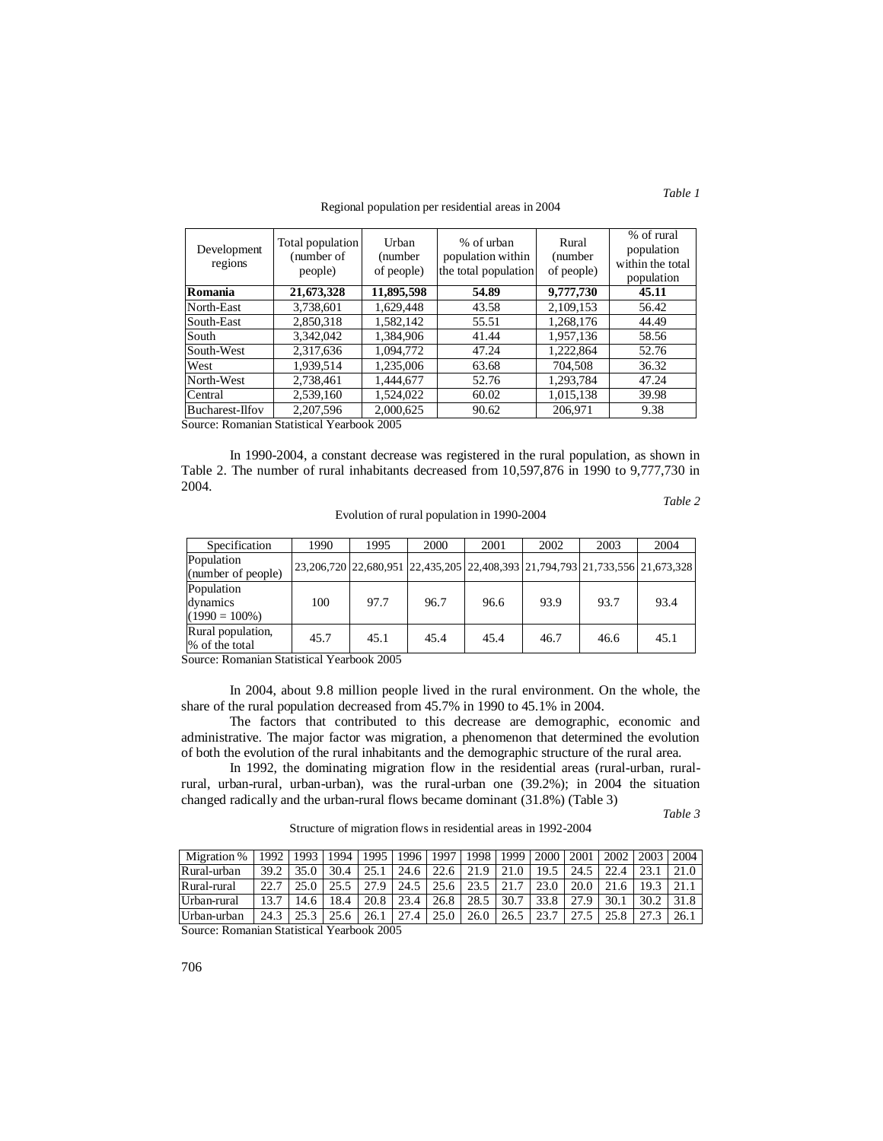#### Regional population per residential areas in 2004

| Development<br>regions | Total population<br>(number of<br>people) | Urban<br>(number<br>of people) | % of urban<br>population within<br>the total population | Rural<br>(number)<br>of people) | % of rural<br>population<br>within the total<br>population |
|------------------------|-------------------------------------------|--------------------------------|---------------------------------------------------------|---------------------------------|------------------------------------------------------------|
| Romania                | 21,673,328                                | 11,895,598                     | 54.89                                                   | 9,777,730                       | 45.11                                                      |
| North-East             | 3,738,601                                 | 1,629,448                      | 43.58                                                   | 2,109,153                       | 56.42                                                      |
| South-East             | 2,850,318                                 | 1,582,142                      | 55.51                                                   | 1,268,176                       | 44.49                                                      |
| South                  | 3,342,042                                 | 1.384.906                      | 41.44                                                   | 1,957,136                       | 58.56                                                      |
| South-West             | 2,317,636                                 | 1.094.772                      | 47.24                                                   | 1,222,864                       | 52.76                                                      |
| West                   | 1,939,514                                 | 1,235,006                      | 63.68                                                   | 704,508                         | 36.32                                                      |
| North-West             | 2,738,461                                 | 1.444.677                      | 52.76                                                   | 1,293,784                       | 47.24                                                      |
| Central                | 2,539,160                                 | 1,524,022                      | 60.02                                                   | 1,015,138                       | 39.98                                                      |
| Bucharest-Ilfov        | 2,207,596                                 | 2,000,625                      | 90.62                                                   | 206,971                         | 9.38                                                       |

Source: Romanian Statistical Yearbook 2005

In 1990-2004, a constant decrease was registered in the rural population, as shown in Table 2. The number of rural inhabitants decreased from 10,597,876 in 1990 to 9,777,730 in 2004.

Evolution of rural population in 1990-2004

*Table 2*

| Specification                              | 1990 | 1995 | 2000                                                                                       | 2001 | 2002 | 2003 | 2004 |
|--------------------------------------------|------|------|--------------------------------------------------------------------------------------------|------|------|------|------|
| Population<br>(number of people)           |      |      | 23, 206, 720 22, 680, 951 22, 435, 205 22, 408, 393 21, 794, 793 21, 733, 556 21, 673, 328 |      |      |      |      |
| Population<br>dynamics<br>$(1990 = 100\%)$ | 100  | 97.7 | 96.7                                                                                       | 96.6 | 93.9 | 93.7 | 93.4 |
| Rural population,<br>% of the total        | 45.7 | 45.1 | 45.4                                                                                       | 45.4 | 46.7 | 46.6 | 45.1 |

Source: Romanian Statistical Yearbook 2005

In 2004, about 9.8 million people lived in the rural environment. On the whole, the share of the rural population decreased from 45.7% in 1990 to 45.1% in 2004.

The factors that contributed to this decrease are demographic, economic and administrative. The major factor was migration, a phenomenon that determined the evolution of both the evolution of the rural inhabitants and the demographic structure of the rural area.

In 1992, the dominating migration flow in the residential areas (rural-urban, ruralrural, urban-rural, urban-urban), was the rural-urban one (39.2%); in 2004 the situation changed radically and the urban-rural flows became dominant (31.8%) (Table 3)

Structure of migration flows in residential areas in 1992-2004

*Table 3*

Migration % 1992 1993 1994 1995 1996 1997 1998 1999 2000 2001 2002 2003 2004 Rural-urban 39.2 35.0 30.4 25.1 24.6 22.6 21.9 21.0 19.5 24.5 22.4 23.1 21.0 Rural-rural 22.7 25.0 25.5 27.9 24.5 25.6 23.5 21.7 23.0 20.0 21.6 19.3 21.1 Urban-rural 13.7 14.6 18.4 20.8 23.4 26.8 28.5 30.7 33.8 27.9 30.1 30.2 31.8 Urban-urban 24.3 25.3 25.6 26.1 27.4 25.0 26.0 26.5 23.7 27.5 25.8 27.3 26.1

Source: Romanian Statistical Yearbook 2005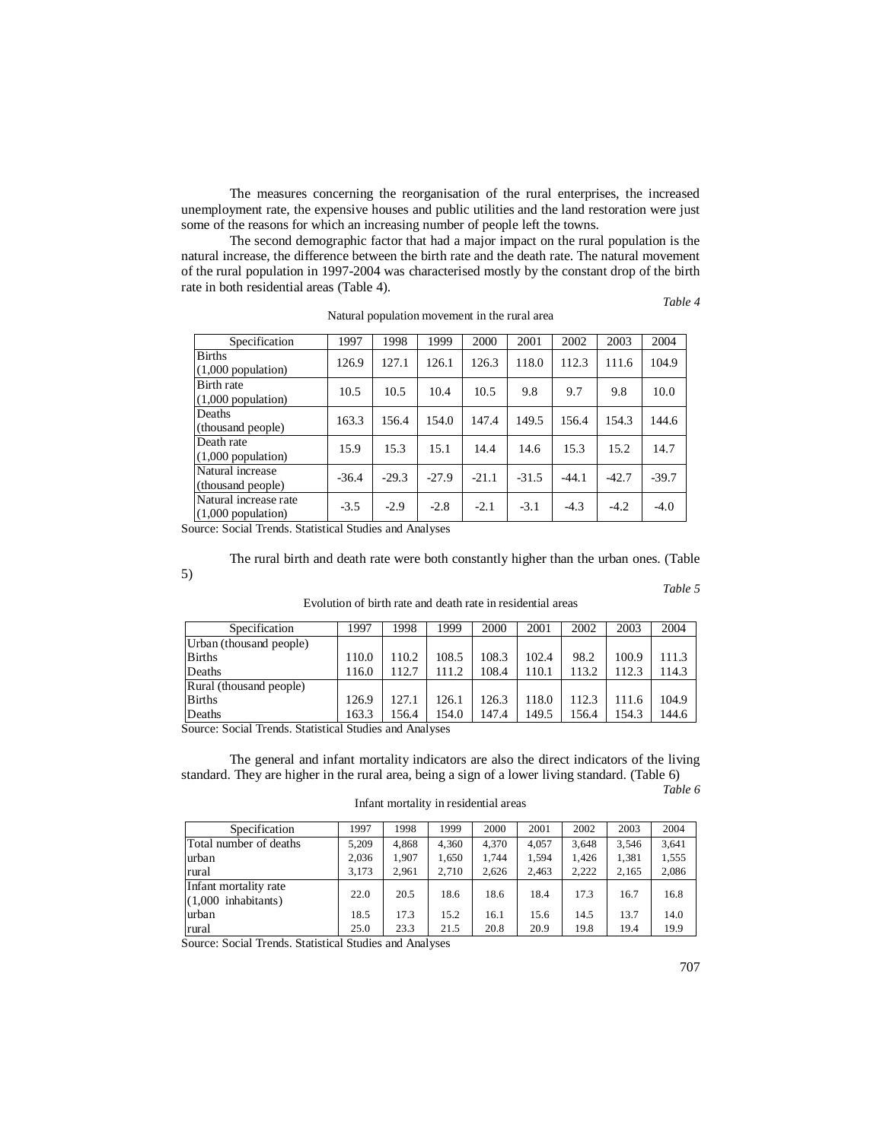The measures concerning the reorganisation of the rural enterprises, the increased unemployment rate, the expensive houses and public utilities and the land restoration were just some of the reasons for which an increasing number of people left the towns.

The second demographic factor that had a major impact on the rural population is the natural increase, the difference between the birth rate and the death rate. The natural movement of the rural population in 1997-2004 was characterised mostly by the constant drop of the birth rate in both residential areas (Table 4).

*Table 4*

| Specification                                 | 1997    | 1998    | 1999    | 2000    | 2001    | 2002    | 2003    | 2004    |
|-----------------------------------------------|---------|---------|---------|---------|---------|---------|---------|---------|
| <b>Births</b><br>$(1,000$ population)         | 126.9   | 127.1   | 126.1   | 126.3   | 118.0   | 112.3   | 111.6   | 104.9   |
| Birth rate<br>$(1,000$ population)            | 10.5    | 10.5    | 10.4    | 10.5    | 9.8     | 9.7     | 9.8     | 10.0    |
| Deaths<br>(thousand people)                   | 163.3   | 156.4   | 154.0   | 147.4   | 149.5   | 156.4   | 154.3   | 144.6   |
| Death rate<br>$(1,000$ population)            | 15.9    | 15.3    | 15.1    | 14.4    | 14.6    | 15.3    | 15.2    | 14.7    |
| Natural increase<br>(thousand people)         | $-36.4$ | $-29.3$ | $-27.9$ | $-21.1$ | $-31.5$ | $-44.1$ | $-42.7$ | $-39.7$ |
| Natural increase rate<br>$(1,000$ population) | $-3.5$  | $-2.9$  | $-2.8$  | $-2.1$  | $-3.1$  | $-4.3$  | $-4.2$  | $-4.0$  |

Natural population movement in the rural area

Source: Social Trends. Statistical Studies and Analyses

5)

The rural birth and death rate were both constantly higher than the urban ones. (Table *Table 5*

| Specification           | 1997  | 1998  | 1999  | 2000  | 2001  | 2002  | 2003  | 2004  |
|-------------------------|-------|-------|-------|-------|-------|-------|-------|-------|
| Urban (thousand people) |       |       |       |       |       |       |       |       |
| <b>B</b> irths          | 110.0 | 110.2 | 108.5 | 108.3 | 102.4 | 98.2  | 100.9 | 11.3  |
| Deaths                  | 116.0 | 112.7 | 111.2 | 108.4 | 110.1 | 113.2 | 112.3 | 114.3 |
| Rural (thousand people) |       |       |       |       |       |       |       |       |
| <b>B</b> irths          | 126.9 | 127.1 | 126.1 | 126.3 | 118.0 | 12.3  | 111.6 | 104.9 |
| Deaths                  | 163.3 | 56.4  | 154.0 | 147.4 | 149.5 | 156.4 | 154.3 | 144.6 |

Evolution of birth rate and death rate in residential areas

Source: Social Trends. Statistical Studies and Analyses

The general and infant mortality indicators are also the direct indicators of the living standard. They are higher in the rural area, being a sign of a lower living standard. (Table 6)

*Table 6*

| Specification                                   | 1997  | 1998  | 1999  | 2000  | 2001  | 2002  | 2003  | 2004  |
|-------------------------------------------------|-------|-------|-------|-------|-------|-------|-------|-------|
| Total number of deaths                          | 5.209 | 4.868 | 4.360 | 4.370 | 4.057 | 3.648 | 3,546 | 3.641 |
| urban                                           | 2.036 | 1.907 | 1.650 | 1.744 | 1.594 | 1.426 | 1.381 | 1,555 |
| rural                                           | 3.173 | 2.961 | 2.710 | 2.626 | 2.463 | 2.222 | 2.165 | 2.086 |
| Infant mortality rate<br>$(1,000)$ inhabitants) | 22.0  | 20.5  | 18.6  | 18.6  | 18.4  | 17.3  | 16.7  | 16.8  |
| urban                                           | 18.5  | 17.3  | 15.2  | 16.1  | 15.6  | 14.5  | 13.7  | 14.0  |
| rural                                           | 25.0  | 23.3  | 21.5  | 20.8  | 20.9  | 19.8  | 19.4  | 19.9  |

Infant mortality in residential areas

Source: Social Trends. Statistical Studies and Analyses